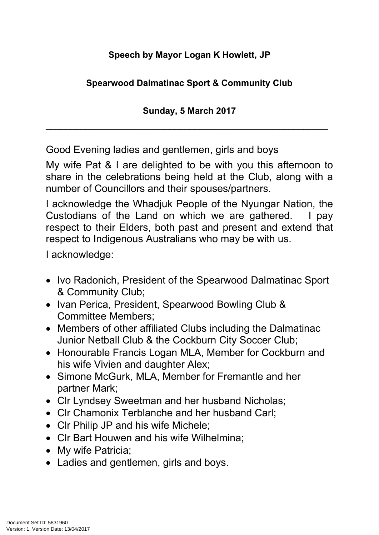## **Speech by Mayor Logan K Howlett, JP**

## **Spearwood Dalmatinac Sport & Community Club**

**Sunday, 5 March 2017**

\_\_\_\_\_\_\_\_\_\_\_\_\_\_\_\_\_\_\_\_\_\_\_\_\_\_\_\_\_\_\_\_\_\_\_\_\_\_\_\_\_\_\_\_\_\_\_\_\_\_\_\_\_\_\_\_\_

Good Evening ladies and gentlemen, girls and boys

My wife Pat & I are delighted to be with you this afternoon to share in the celebrations being held at the Club, along with a number of Councillors and their spouses/partners.

I acknowledge the Whadjuk People of the Nyungar Nation, the Custodians of the Land on which we are gathered. I pay respect to their Elders, both past and present and extend that respect to Indigenous Australians who may be with us.

I acknowledge:

- Ivo Radonich, President of the Spearwood Dalmatinac Sport & Community Club;
- Ivan Perica, President, Spearwood Bowling Club & Committee Members;
- Members of other affiliated Clubs including the Dalmatinac Junior Netball Club & the Cockburn City Soccer Club;
- Honourable Francis Logan MLA, Member for Cockburn and his wife Vivien and daughter Alex;
- Simone McGurk, MLA, Member for Fremantle and her partner Mark;
- CIr Lyndsey Sweetman and her husband Nicholas:
- CIr Chamonix Terblanche and her husband Carl:
- Clr Philip JP and his wife Michele;
- CIr Bart Houwen and his wife Wilhelmina:
- My wife Patricia:
- Ladies and gentlemen, girls and boys.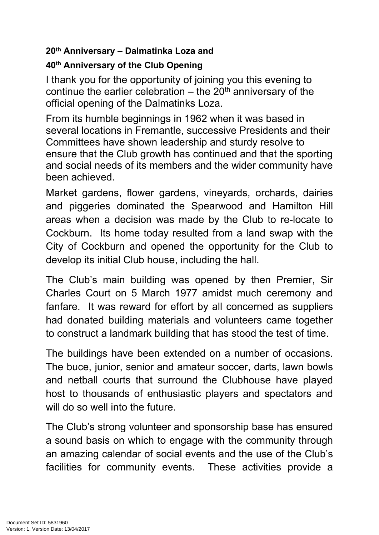## **20th Anniversary – Dalmatinka Loza and**

## **40th Anniversary of the Club Opening**

I thank you for the opportunity of joining you this evening to continue the earlier celebration  $-$  the 20<sup>th</sup> anniversary of the official opening of the Dalmatinks Loza.

From its humble beginnings in 1962 when it was based in several locations in Fremantle, successive Presidents and their Committees have shown leadership and sturdy resolve to ensure that the Club growth has continued and that the sporting and social needs of its members and the wider community have been achieved.

Market gardens, flower gardens, vineyards, orchards, dairies and piggeries dominated the Spearwood and Hamilton Hill areas when a decision was made by the Club to re-locate to Cockburn. Its home today resulted from a land swap with the City of Cockburn and opened the opportunity for the Club to develop its initial Club house, including the hall.

The Club's main building was opened by then Premier, Sir Charles Court on 5 March 1977 amidst much ceremony and fanfare. It was reward for effort by all concerned as suppliers had donated building materials and volunteers came together to construct a landmark building that has stood the test of time.

The buildings have been extended on a number of occasions. The buce, junior, senior and amateur soccer, darts, lawn bowls and netball courts that surround the Clubhouse have played host to thousands of enthusiastic players and spectators and will do so well into the future.

The Club's strong volunteer and sponsorship base has ensured a sound basis on which to engage with the community through an amazing calendar of social events and the use of the Club's facilities for community events. These activities provide a